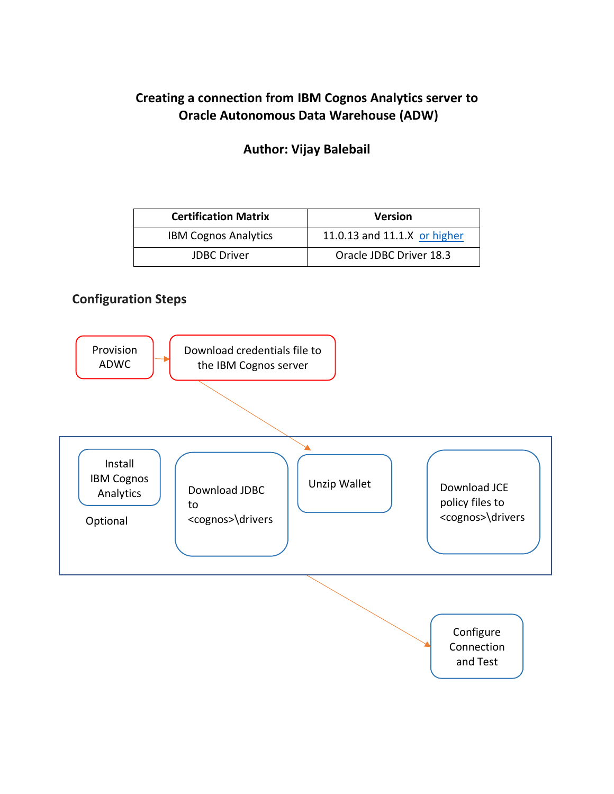# **Creating a connection from IBM Cognos Analytics server to Oracle Autonomous Data Warehouse (ADW)**

#### **Author: Vijay Balebail**

| <b>Certification Matrix</b> | <b>Version</b>               |
|-----------------------------|------------------------------|
| <b>IBM Cognos Analytics</b> | 11.0.13 and 11.1.X or higher |
| <b>JDBC Driver</b>          | Oracle JDBC Driver 18.3      |

### **Configuration Steps**

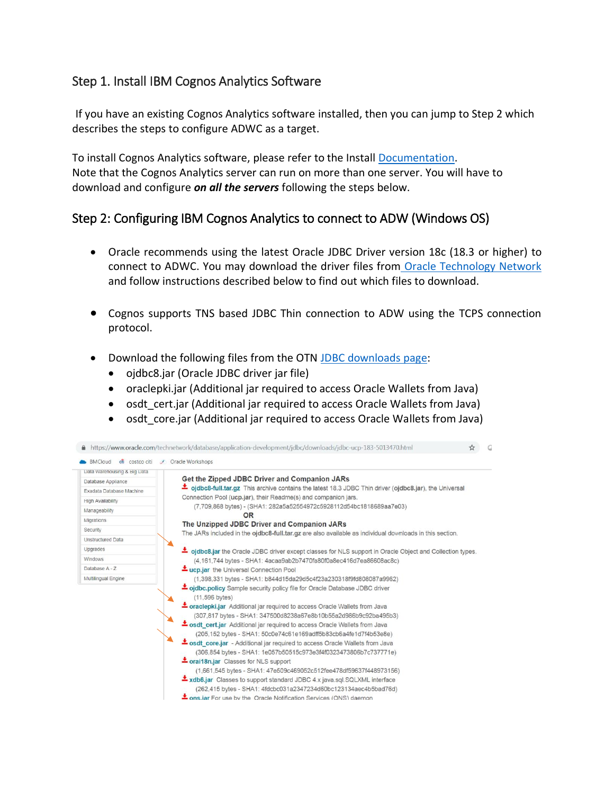## Step 1. Install IBM Cognos Analytics Software

 If you have an existing Cognos Analytics software installed, then you can jump to Step 2 which describes the steps to configure ADWC as a target.

To install Cognos Analytics software, please refer to the Install [Documentation.](https://www.ibm.com/support/knowledgecenter/SSEP7J_11.0.0/com.ibm.swg.ba.cognos.cbi.doc/manuals.html) Note that the Cognos Analytics server can run on more than one server. You will have to download and configure *on all the servers* following the steps below.

## Step 2: Configuring IBM Cognos Analytics to connect to ADW (Windows OS)

- Oracle recommends using the latest Oracle JDBC Driver version 18c (18.3 or higher) to connect to ADWC. You may download the driver files from [Oracle Technology Network](https://www.oracle.com/technetwork/database/application-development/jdbc/downloads/jdbc-ucp-183-5013470.html) and follow instructions described below to find out which files to download.
- Cognos supports TNS based JDBC Thin connection to ADW using the TCPS connection protocol.
- Download the following files from the OTN [JDBC downloads](https://www.oracle.com/technetwork/database/application-development/jdbc/downloads/jdbc-ucp-183-5013470.html) page:
	- ojdbc8.jar (Oracle JDBC driver jar file)
	- oraclepki.jar (Additional jar required to access Oracle Wallets from Java)
	- osdt cert.jar (Additional jar required to access Oracle Wallets from Java)
	- osdt core.jar (Additional jar required to access Oracle Wallets from Java)

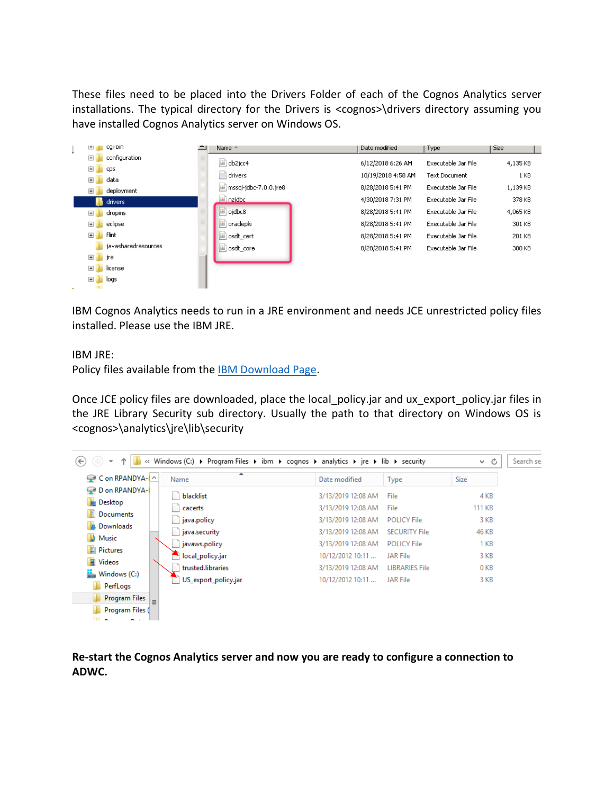These files need to be placed into the Drivers Folder of each of the Cognos Analytics server installations. The typical directory for the Drivers is <cognos>\drivers directory assuming you have installed Cognos Analytics server on Windows OS.

| cgi-bin<br>団                 | Name -                            | Date modified      | Type                | Size     |
|------------------------------|-----------------------------------|--------------------|---------------------|----------|
| configuration<br>田           | db2jcc4                           | 6/12/2018 6:26 AM  | Executable Jar File | 4,135 KB |
| 田<br><b>CDS</b>              | drivers                           | 10/19/2018 4:58 AM | Text Document       | 1 KB     |
| data<br>$\overline{+}$       |                                   |                    |                     |          |
| deployment<br>$\overline{+}$ | $\boxed{4}$ mssql-jdbc-7.0.0.jre8 | 8/28/2018 5:41 PM  | Executable Jar File | 1,139 KB |
| drivers                      | nzidbc<br>Libri                   | 4/30/2018 7:31 PM  | Executable Jar File | 378 KB   |
| dropins<br>$\overline{+}$    | ojdbc8                            | 8/28/2018 5:41 PM  | Executable Jar File | 4,065 KB |
| eclipse<br>$\overline{+}$    | oraclepki                         | 8/28/2018 5:41 PM  | Executable Jar File | 301 KB   |
| flint<br>田                   | osdt_cert                         | 8/28/2018 5:41 PM  | Executable Jar File | 201 KB   |
| iavasharedresources          | osdt_core                         | 8/28/2018 5:41 PM  | Executable Jar File | 300 KB   |
| $\blacksquare$<br>  jre      |                                   |                    |                     |          |
| license<br>$\vert + \vert$   |                                   |                    |                     |          |
| $\blacksquare$<br>logs       |                                   |                    |                     |          |
| <b>Chair</b>                 |                                   |                    |                     |          |

IBM Cognos Analytics needs to run in a JRE environment and needs JCE unrestricted policy files installed. Please use the IBM JRE.

IBM JRE:

Policy files available from the [IBM Download Page.](https://www.ibm.com/support/knowledgecenter/en/SSZJPZ_11.7.0/com.ibm.swg.im.iis.found.admin.common.doc/topics/lmt_scr_downloading_installing_jce_policyfiles.html)

Once JCE policy files are downloaded, place the local policy.jar and ux export policy.jar files in the JRE Library Security sub directory. Usually the path to that directory on Windows OS is <cognos>\analytics\jre\lib\security



**Re-start the Cognos Analytics server and now you are ready to configure a connection to ADWC.**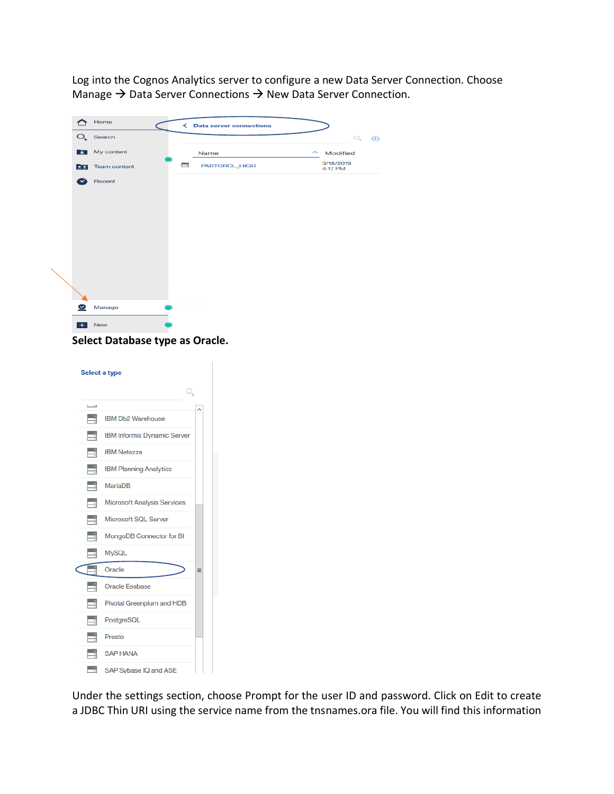Log into the Cognos Analytics server to configure a new Data Server Connection. Choose Manage  $\rightarrow$  Data Server Connections  $\rightarrow$  New Data Server Connection.

|     | Home                   |   | < Data server connections |                      |          |
|-----|------------------------|---|---------------------------|----------------------|----------|
|     | $O_{\bullet}$ Search   |   |                           | $\bigcirc_{\ast}$    | $\oplus$ |
|     | My content             |   | Name                      | $\sim$ Modified      |          |
|     | <b>CO</b> Team content | o | PARTORCL_HIGH             | 3/18/2019<br>4:17 PM |          |
| ×   | Recent                 |   |                           |                      |          |
|     |                        |   |                           |                      |          |
|     |                        |   |                           |                      |          |
|     |                        |   |                           |                      |          |
|     |                        |   |                           |                      |          |
|     |                        |   |                           |                      |          |
|     |                        |   |                           |                      |          |
|     |                        |   |                           |                      |          |
|     |                        |   |                           |                      |          |
| ల   | Manage                 |   |                           |                      |          |
| $+$ | New                    |   |                           |                      |          |

**Select Database type as Oracle.**

| Select a type |     |                                    |          |  |  |  |
|---------------|-----|------------------------------------|----------|--|--|--|
|               |     | O,                                 |          |  |  |  |
|               | تسا |                                    |          |  |  |  |
|               | Ę   | <b>IBM Db2 Warehouse</b>           |          |  |  |  |
|               | E   | <b>IBM Informix Dynamic Server</b> |          |  |  |  |
|               | E   | <b>IBM Netezza</b>                 |          |  |  |  |
|               | E   | <b>IBM Planning Analytics</b>      |          |  |  |  |
|               | E   | <b>MariaDB</b>                     |          |  |  |  |
|               | E   | <b>Microsoft Analysis Services</b> |          |  |  |  |
|               | Ħ   | Microsoft SQL Server               |          |  |  |  |
|               | E   | MongoDB Connector for BI           |          |  |  |  |
|               | E   | <b>MySQL</b>                       |          |  |  |  |
|               |     | Oracle                             | $\equiv$ |  |  |  |
|               | E   | <b>Oracle Essbase</b>              |          |  |  |  |
|               | Ħ   | Pivotal Greenplum and HDB          |          |  |  |  |
|               | E   | PostgreSQL                         |          |  |  |  |
|               | E   | Presto                             |          |  |  |  |
|               |     | <b>SAP HANA</b>                    |          |  |  |  |
|               | ⊟   | SAP Sybase IQ and ASE              |          |  |  |  |

Under the settings section, choose Prompt for the user ID and password. Click on Edit to create a JDBC Thin URI using the service name from the tnsnames.ora file. You will find this information